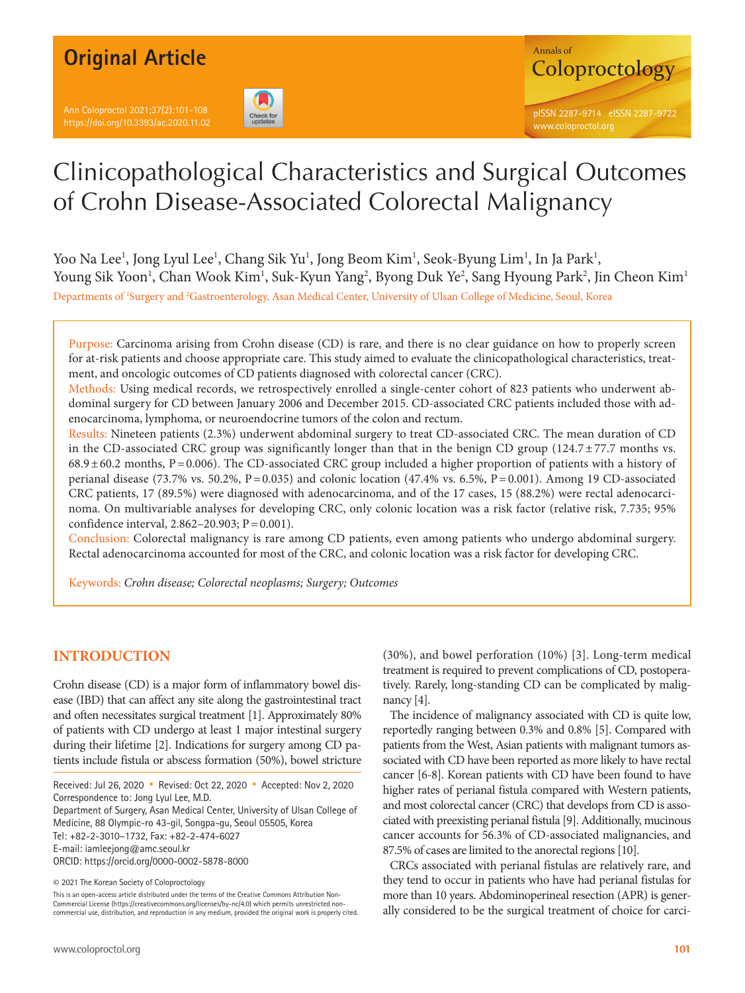Ann Coloproctol 2021;37(2):101-108 https://doi.org/10.3393/ac.2020.11.02





# Clinicopathological Characteristics and Surgical Outcomes of Crohn Disease-Associated Colorectal Malignancy

Yoo Na Lee<sup>1</sup>, Jong Lyul Lee<sup>1</sup>, Chang Sik Yu<sup>1</sup>, Jong Beom Kim<sup>1</sup>, Seok-Byung Lim<sup>1</sup>, In Ja Park<sup>1</sup>, Young Sik Yoon<sup>1</sup>, Chan Wook Kim<sup>1</sup>, Suk-Kyun Yang<sup>2</sup>, Byong Duk Ye<sup>2</sup>, Sang Hyoung Park<sup>2</sup>, Jin Cheon Kim<sup>1</sup> Departments of 'Surgery and <sup>2</sup>Gastroenterology, Asan Medical Center, University of Ulsan College of Medicine, Seoul, Korea

Purpose: Carcinoma arising from Crohn disease (CD) is rare, and there is no clear guidance on how to properly screen for at-risk patients and choose appropriate care. This study aimed to evaluate the clinicopathological characteristics, treatment, and oncologic outcomes of CD patients diagnosed with colorectal cancer (CRC).

Methods: Using medical records, we retrospectively enrolled a single-center cohort of 823 patients who underwent abdominal surgery for CD between January 2006 and December 2015. CD-associated CRC patients included those with adenocarcinoma, lymphoma, or neuroendocrine tumors of the colon and rectum.

Results: Nineteen patients (2.3%) underwent abdominal surgery to treat CD-associated CRC. The mean duration of CD in the CD-associated CRC group was significantly longer than that in the benign CD group  $(124.7 \pm 77.7 \text{ months vs.})$  $68.9 \pm 60.2$  months, P = 0.006). The CD-associated CRC group included a higher proportion of patients with a history of perianal disease (73.7% vs. 50.2%,  $P = 0.035$ ) and colonic location (47.4% vs. 6.5%,  $P = 0.001$ ). Among 19 CD-associated CRC patients, 17 (89.5%) were diagnosed with adenocarcinoma, and of the 17 cases, 15 (88.2%) were rectal adenocarcinoma. On multivariable analyses for developing CRC, only colonic location was a risk factor (relative risk, 7.735; 95% confidence interval,  $2.862 - 20.903$ ;  $P = 0.001$ ).

Conclusion: Colorectal malignancy is rare among CD patients, even among patients who undergo abdominal surgery. Rectal adenocarcinoma accounted for most of the CRC, and colonic location was a risk factor for developing CRC.

Keywords: *Crohn disease; Colorectal neoplasms; Surgery; Outcomes*

# **INTRODUCTION**

Crohn disease (CD) is a major form of inflammatory bowel disease (IBD) that can affect any site along the gastrointestinal tract and often necessitates surgical treatment [1]. Approximately 80% of patients with CD undergo at least 1 major intestinal surgery during their lifetime [2]. Indications for surgery among CD patients include fistula or abscess formation (50%), bowel stricture

Received: Jul 26, 2020 • Revised: Oct 22, 2020 • Accepted: Nov 2, 2020 Correspondence to: Jong Lyul Lee, M.D.

Department of Surgery, Asan Medical Center, University of Ulsan College of Medicine, 88 Olympic-ro 43-gil, Songpa-gu, Seoul 05505, Korea

Tel: +82-2-3010–1732, Fax: +82-2-474-6027

E-mail: iamleejong@amc.seoul.kr

ORCID: https://orcid.org/0000-0002-5878-8000

© 2021 The Korean Society of Coloproctology

This is an open-access article distributed under the terms of the Creative Commons Attribution Non-Commercial License (https://creativecommons.org/licenses/by-nc/4.0) which permits unrestricted noncommercial use, distribution, and reproduction in any medium, provided the original work is properly cited. (30%), and bowel perforation (10%) [3]. Long-term medical treatment is required to prevent complications of CD, postoperatively. Rarely, long-standing CD can be complicated by malignancy [4].

The incidence of malignancy associated with CD is quite low, reportedly ranging between 0.3% and 0.8% [5]. Compared with patients from the West, Asian patients with malignant tumors associated with CD have been reported as more likely to have rectal cancer [6-8]. Korean patients with CD have been found to have higher rates of perianal fistula compared with Western patients, and most colorectal cancer (CRC) that develops from CD is associated with preexisting perianal fistula [9]. Additionally, mucinous cancer accounts for 56.3% of CD-associated malignancies, and 87.5% of cases are limited to the anorectal regions [10].

CRCs associated with perianal fistulas are relatively rare, and they tend to occur in patients who have had perianal fistulas for more than 10 years. Abdominoperineal resection (APR) is generally considered to be the surgical treatment of choice for carci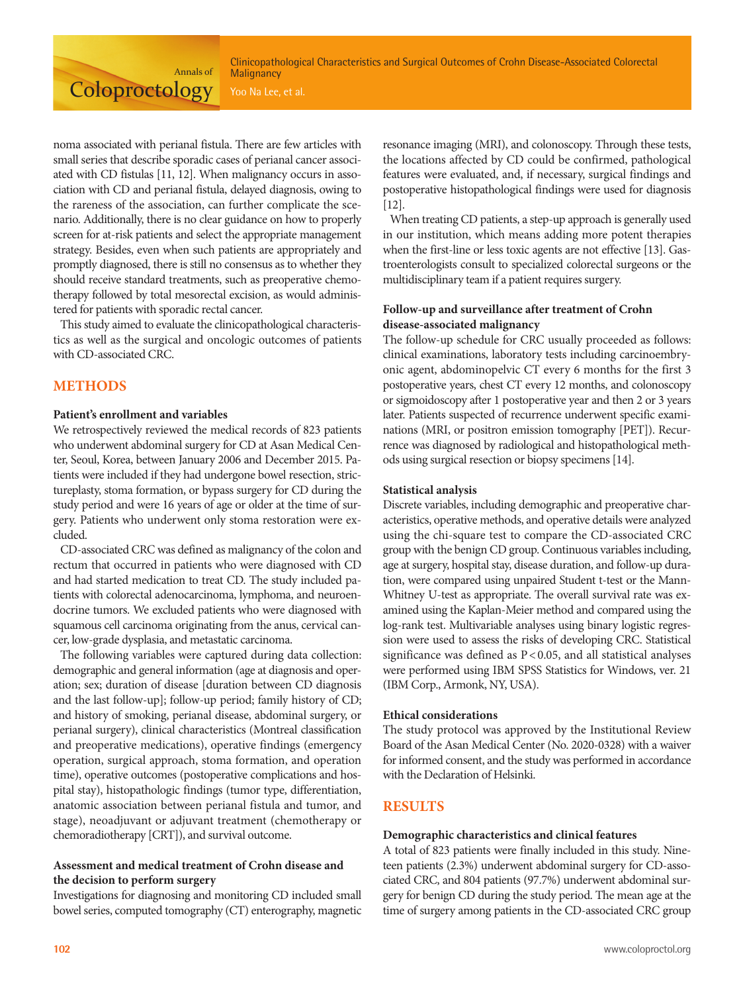Clinicopathological Characteristics and Surgical Outcomes of Crohn Disease-Associated Colorectal **Malignancy** 

noma associated with perianal fistula. There are few articles with small series that describe sporadic cases of perianal cancer associated with CD fistulas [11, 12]. When malignancy occurs in association with CD and perianal fistula, delayed diagnosis, owing to the rareness of the association, can further complicate the scenario. Additionally, there is no clear guidance on how to properly screen for at-risk patients and select the appropriate management strategy. Besides, even when such patients are appropriately and promptly diagnosed, there is still no consensus as to whether they should receive standard treatments, such as preoperative chemotherapy followed by total mesorectal excision, as would administered for patients with sporadic rectal cancer.

Annals of

**Coloproctology** 

This study aimed to evaluate the clinicopathological characteristics as well as the surgical and oncologic outcomes of patients with CD-associated CRC.

# **METHODS**

#### **Patient's enrollment and variables**

We retrospectively reviewed the medical records of 823 patients who underwent abdominal surgery for CD at Asan Medical Center, Seoul, Korea, between January 2006 and December 2015. Patients were included if they had undergone bowel resection, strictureplasty, stoma formation, or bypass surgery for CD during the study period and were 16 years of age or older at the time of surgery. Patients who underwent only stoma restoration were excluded.

CD-associated CRC was defined as malignancy of the colon and rectum that occurred in patients who were diagnosed with CD and had started medication to treat CD. The study included patients with colorectal adenocarcinoma, lymphoma, and neuroendocrine tumors. We excluded patients who were diagnosed with squamous cell carcinoma originating from the anus, cervical cancer, low-grade dysplasia, and metastatic carcinoma.

The following variables were captured during data collection: demographic and general information (age at diagnosis and operation; sex; duration of disease [duration between CD diagnosis and the last follow-up]; follow-up period; family history of CD; and history of smoking, perianal disease, abdominal surgery, or perianal surgery), clinical characteristics (Montreal classification and preoperative medications), operative findings (emergency operation, surgical approach, stoma formation, and operation time), operative outcomes (postoperative complications and hospital stay), histopathologic findings (tumor type, differentiation, anatomic association between perianal fistula and tumor, and stage), neoadjuvant or adjuvant treatment (chemotherapy or chemoradiotherapy [CRT]), and survival outcome.

#### **Assessment and medical treatment of Crohn disease and the decision to perform surgery**

Investigations for diagnosing and monitoring CD included small bowel series, computed tomography (CT) enterography, magnetic

resonance imaging (MRI), and colonoscopy. Through these tests, the locations affected by CD could be confirmed, pathological features were evaluated, and, if necessary, surgical findings and postoperative histopathological findings were used for diagnosis  $[12]$ .

When treating CD patients, a step-up approach is generally used in our institution, which means adding more potent therapies when the first-line or less toxic agents are not effective [13]. Gastroenterologists consult to specialized colorectal surgeons or the multidisciplinary team if a patient requires surgery.

### **Follow-up and surveillance after treatment of Crohn disease-associated malignancy**

The follow-up schedule for CRC usually proceeded as follows: clinical examinations, laboratory tests including carcinoembryonic agent, abdominopelvic CT every 6 months for the first 3 postoperative years, chest CT every 12 months, and colonoscopy or sigmoidoscopy after 1 postoperative year and then 2 or 3 years later. Patients suspected of recurrence underwent specific examinations (MRI, or positron emission tomography [PET]). Recurrence was diagnosed by radiological and histopathological methods using surgical resection or biopsy specimens [14].

#### **Statistical analysis**

Discrete variables, including demographic and preoperative characteristics, operative methods, and operative details were analyzed using the chi-square test to compare the CD-associated CRC group with the benign CD group. Continuous variables including, age at surgery, hospital stay, disease duration, and follow-up duration, were compared using unpaired Student t-test or the Mann-Whitney U-test as appropriate. The overall survival rate was examined using the Kaplan-Meier method and compared using the log-rank test. Multivariable analyses using binary logistic regression were used to assess the risks of developing CRC. Statistical significance was defined as P < 0.05, and all statistical analyses were performed using IBM SPSS Statistics for Windows, ver. 21 (IBM Corp., Armonk, NY, USA).

#### **Ethical considerations**

The study protocol was approved by the Institutional Review Board of the Asan Medical Center (No. 2020-0328) with a waiver for informed consent, and the study was performed in accordance with the Declaration of Helsinki.

# **RESULTS**

#### **Demographic characteristics and clinical features**

A total of 823 patients were finally included in this study. Nineteen patients (2.3%) underwent abdominal surgery for CD-associated CRC, and 804 patients (97.7%) underwent abdominal surgery for benign CD during the study period. The mean age at the time of surgery among patients in the CD-associated CRC group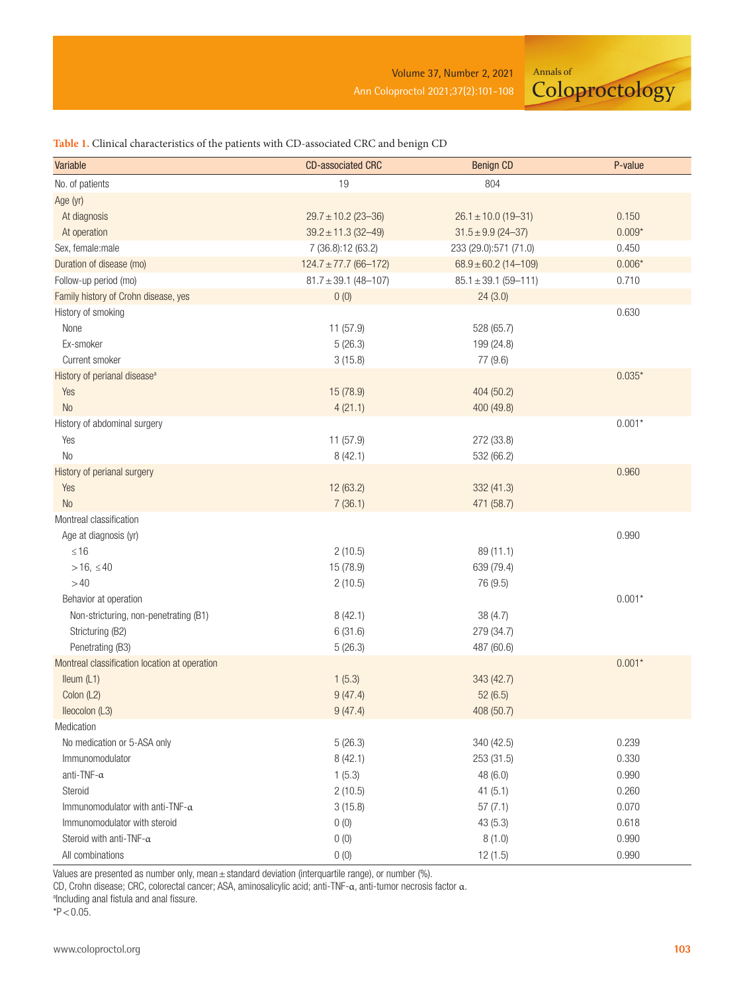Annals of **Coloproctology** 

### **Table 1.** Clinical characteristics of the patients with CD-associated CRC and benign CD

| Variable                                      | <b>CD-associated CRC</b>  | <b>Benign CD</b>         | P-value  |
|-----------------------------------------------|---------------------------|--------------------------|----------|
| No. of patients                               | 19                        | 804                      |          |
| Age (yr)                                      |                           |                          |          |
| At diagnosis                                  | $29.7 \pm 10.2$ (23-36)   | $26.1 \pm 10.0$ (19-31)  | 0.150    |
| At operation                                  | $39.2 \pm 11.3$ (32-49)   | $31.5 \pm 9.9$ (24-37)   | $0.009*$ |
| Sex, female:male                              | 7 (36.8):12 (63.2)        | 233 (29.0):571 (71.0)    | 0.450    |
| Duration of disease (mo)                      | $124.7 \pm 77.7$ (66-172) | $68.9 \pm 60.2$ (14-109) | $0.006*$ |
| Follow-up period (mo)                         | $81.7 \pm 39.1$ (48-107)  | $85.1 \pm 39.1$ (59-111) | 0.710    |
| Family history of Crohn disease, yes          | 0(0)                      | 24(3.0)                  |          |
| History of smoking                            |                           |                          | 0.630    |
| None                                          | 11 (57.9)                 | 528 (65.7)               |          |
| Ex-smoker                                     | 5(26.3)                   | 199 (24.8)               |          |
| Current smoker                                | 3(15.8)                   | 77 (9.6)                 |          |
| History of perianal disease <sup>a</sup>      |                           |                          | $0.035*$ |
| Yes                                           | 15 (78.9)                 | 404 (50.2)               |          |
| No                                            | 4(21.1)                   | 400 (49.8)               |          |
| History of abdominal surgery                  |                           |                          | $0.001*$ |
| Yes                                           | 11 (57.9)                 | 272 (33.8)               |          |
| No                                            | 8(42.1)                   | 532 (66.2)               |          |
| History of perianal surgery                   |                           |                          | 0.960    |
| Yes                                           | 12 (63.2)                 | 332 (41.3)               |          |
| No                                            | 7(36.1)                   | 471 (58.7)               |          |
| Montreal classification                       |                           |                          |          |
| Age at diagnosis (yr)                         |                           |                          | 0.990    |
| $≤ 16$                                        | 2(10.5)                   | 89 (11.1)                |          |
| $> 16, \leq 40$                               | 15 (78.9)                 | 639 (79.4)               |          |
| >40                                           | 2(10.5)                   | 76 (9.5)                 |          |
| Behavior at operation                         |                           |                          | $0.001*$ |
| Non-stricturing, non-penetrating (B1)         | 8(42.1)                   | 38(4.7)                  |          |
| Stricturing (B2)                              | 6(31.6)                   | 279 (34.7)               |          |
| Penetrating (B3)                              | 5(26.3)                   | 487 (60.6)               |          |
| Montreal classification location at operation |                           |                          | $0.001*$ |
| Ileum (L1)                                    | 1(5.3)                    | 343 (42.7)               |          |
| Colon (L2)                                    | 9(47.4)                   | 52(6.5)                  |          |
| Ileocolon (L3)                                | 9(47.4)                   | 408 (50.7)               |          |
| Medication                                    |                           |                          |          |
| No medication or 5-ASA only                   | 5(26.3)                   | 340 (42.5)               | 0.239    |
| Immunomodulator                               | 8(42.1)                   | 253 (31.5)               | 0.330    |
| anti-TNF- $\alpha$                            | 1(5.3)                    | 48 (6.0)                 | 0.990    |
| Steroid                                       | 2(10.5)                   | 41(5.1)                  | 0.260    |
| Immunomodulator with anti-TNF- $\alpha$       | 3(15.8)                   | 57(7.1)                  | 0.070    |
| Immunomodulator with steroid                  | 0(0)                      | 43(5.3)                  | 0.618    |
| Steroid with anti-TNF- $\alpha$               | 0(0)                      | 8(1.0)                   | 0.990    |
| All combinations                              | 0(0)                      | 12(1.5)                  | 0.990    |

Values are presented as number only, mean  $\pm$  standard deviation (interquartile range), or number (%).

CD, Crohn disease; CRC, colorectal cancer; ASA, aminosalicylic acid; anti-TNF-α, anti-tumor necrosis factor α.

alncluding anal fistula and anal fissure.

 $*P < 0.05$ .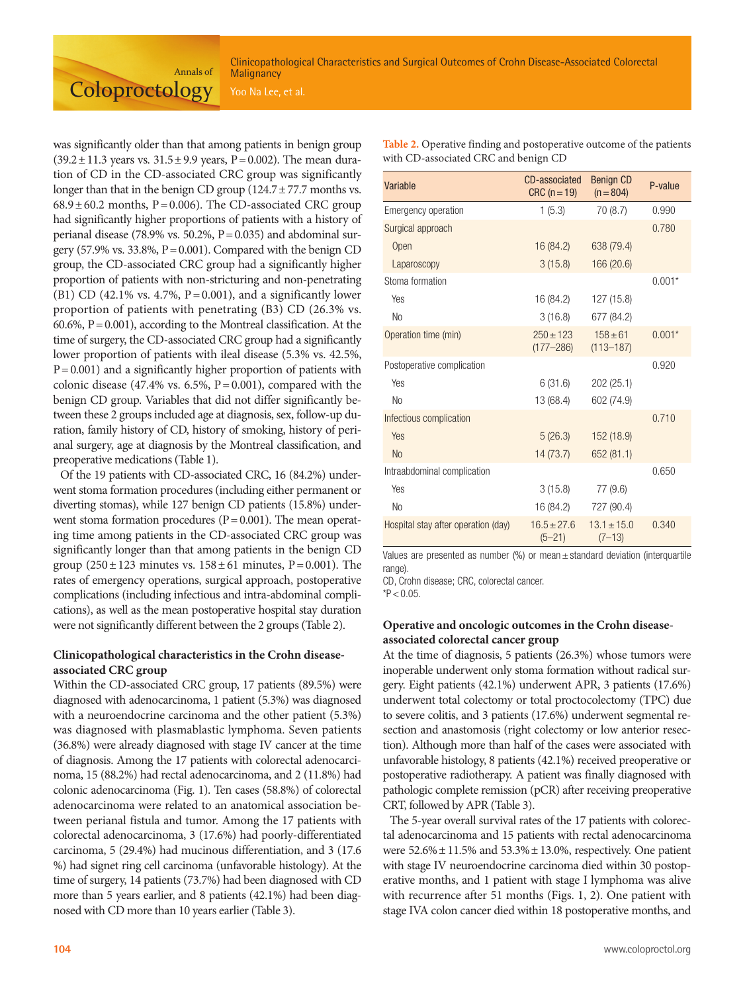with CD-associated CRC and benign CD

was significantly older than that among patients in benign group  $(39.2 \pm 11.3 \text{ years vs. } 31.5 \pm 9.9 \text{ years}, P = 0.002)$ . The mean duration of CD in the CD-associated CRC group was significantly longer than that in the benign CD group  $(124.7 \pm 77.7 \text{ months vs.})$  $68.9 \pm 60.2$  months, P = 0.006). The CD-associated CRC group had significantly higher proportions of patients with a history of perianal disease (78.9% vs. 50.2%,  $P = 0.035$ ) and abdominal surgery (57.9% vs. 33.8%,  $P = 0.001$ ). Compared with the benign CD group, the CD-associated CRC group had a significantly higher proportion of patients with non-stricturing and non-penetrating (B1) CD (42.1% vs. 4.7%,  $P = 0.001$ ), and a significantly lower proportion of patients with penetrating (B3) CD (26.3% vs. 60.6%,  $P = 0.001$ ), according to the Montreal classification. At the time of surgery, the CD-associated CRC group had a significantly lower proportion of patients with ileal disease (5.3% vs. 42.5%,  $P = 0.001$ ) and a significantly higher proportion of patients with colonic disease (47.4% vs. 6.5%,  $P = 0.001$ ), compared with the benign CD group. Variables that did not differ significantly between these 2 groups included age at diagnosis, sex, follow-up duration, family history of CD, history of smoking, history of perianal surgery, age at diagnosis by the Montreal classification, and preoperative medications (Table 1).

Annals of

**Coloproctology** 

Of the 19 patients with CD-associated CRC, 16 (84.2%) underwent stoma formation procedures (including either permanent or diverting stomas), while 127 benign CD patients (15.8%) underwent stoma formation procedures  $(P = 0.001)$ . The mean operating time among patients in the CD-associated CRC group was significantly longer than that among patients in the benign CD group  $(250 \pm 123$  minutes vs.  $158 \pm 61$  minutes, P = 0.001). The rates of emergency operations, surgical approach, postoperative complications (including infectious and intra-abdominal complications), as well as the mean postoperative hospital stay duration were not significantly different between the 2 groups (Table 2).

#### **Clinicopathological characteristics in the Crohn diseaseassociated CRC group**

Within the CD-associated CRC group, 17 patients (89.5%) were diagnosed with adenocarcinoma, 1 patient (5.3%) was diagnosed with a neuroendocrine carcinoma and the other patient (5.3%) was diagnosed with plasmablastic lymphoma. Seven patients (36.8%) were already diagnosed with stage IV cancer at the time of diagnosis. Among the 17 patients with colorectal adenocarcinoma, 15 (88.2%) had rectal adenocarcinoma, and 2 (11.8%) had colonic adenocarcinoma (Fig. 1). Ten cases (58.8%) of colorectal adenocarcinoma were related to an anatomical association between perianal fistula and tumor. Among the 17 patients with colorectal adenocarcinoma, 3 (17.6%) had poorly-differentiated carcinoma, 5 (29.4%) had mucinous differentiation, and 3 (17.6 %) had signet ring cell carcinoma (unfavorable histology). At the time of surgery, 14 patients (73.7%) had been diagnosed with CD more than 5 years earlier, and 8 patients (42.1%) had been diagnosed with CD more than 10 years earlier (Table 3).

| Variable                            | <b>CD-associated</b><br>$CRC(n=19)$ | <b>Benign CD</b><br>$(n = 804)$ | P-value  |
|-------------------------------------|-------------------------------------|---------------------------------|----------|
| <b>Emergency operation</b>          | 1(5.3)                              | 70 (8.7)                        | 0.990    |
| Surgical approach                   |                                     |                                 | 0.780    |
| Open                                | 16 (84.2)                           | 638 (79.4)                      |          |
| Laparoscopy                         | 3(15.8)                             | 166 (20.6)                      |          |
| Stoma formation                     |                                     |                                 | $0.001*$ |
| Yes                                 | 16 (84.2)                           | 127 (15.8)                      |          |
| <b>No</b>                           | 3(16.8)                             | 677 (84.2)                      |          |
| Operation time (min)                | $250 + 123$<br>$(177 - 286)$        | $158 + 61$<br>$(113 - 187)$     | $0.001*$ |
| Postoperative complication          |                                     |                                 | 0.920    |
| Yes                                 | 6(31.6)                             | 202 (25.1)                      |          |
| <b>No</b>                           | 13 (68.4)                           | 602 (74.9)                      |          |
| Infectious complication             |                                     |                                 | 0.710    |
| Yes                                 | 5(26.3)                             | 152(18.9)                       |          |
| <b>No</b>                           | 14 (73.7)                           | 652 (81.1)                      |          |
| Intraabdominal complication         |                                     |                                 | 0.650    |
| Yes                                 | 3(15.8)                             | 77 (9.6)                        |          |
| <b>No</b>                           | 16 (84.2)                           | 727 (90.4)                      |          |
| Hospital stay after operation (day) | $16.5 \pm 27.6$<br>$(5 - 21)$       | $13.1 \pm 15.0$<br>$(7-13)$     | 0.340    |

**Table 2.** Operative finding and postoperative outcome of the patients

Values are presented as number (%) or mean  $\pm$  standard deviation (interquartile range)

CD, Crohn disease; CRC, colorectal cancer.

 $*P < 0.05$ .

#### **Operative and oncologic outcomes in the Crohn diseaseassociated colorectal cancer group**

At the time of diagnosis, 5 patients (26.3%) whose tumors were inoperable underwent only stoma formation without radical surgery. Eight patients (42.1%) underwent APR, 3 patients (17.6%) underwent total colectomy or total proctocolectomy (TPC) due to severe colitis, and 3 patients (17.6%) underwent segmental resection and anastomosis (right colectomy or low anterior resection). Although more than half of the cases were associated with unfavorable histology, 8 patients (42.1%) received preoperative or postoperative radiotherapy. A patient was finally diagnosed with pathologic complete remission (pCR) after receiving preoperative CRT, followed by APR (Table 3).

The 5-year overall survival rates of the 17 patients with colorectal adenocarcinoma and 15 patients with rectal adenocarcinoma were  $52.6\% \pm 11.5\%$  and  $53.3\% \pm 13.0\%$ , respectively. One patient with stage IV neuroendocrine carcinoma died within 30 postoperative months, and 1 patient with stage I lymphoma was alive with recurrence after 51 months (Figs. 1, 2). One patient with stage IVA colon cancer died within 18 postoperative months, and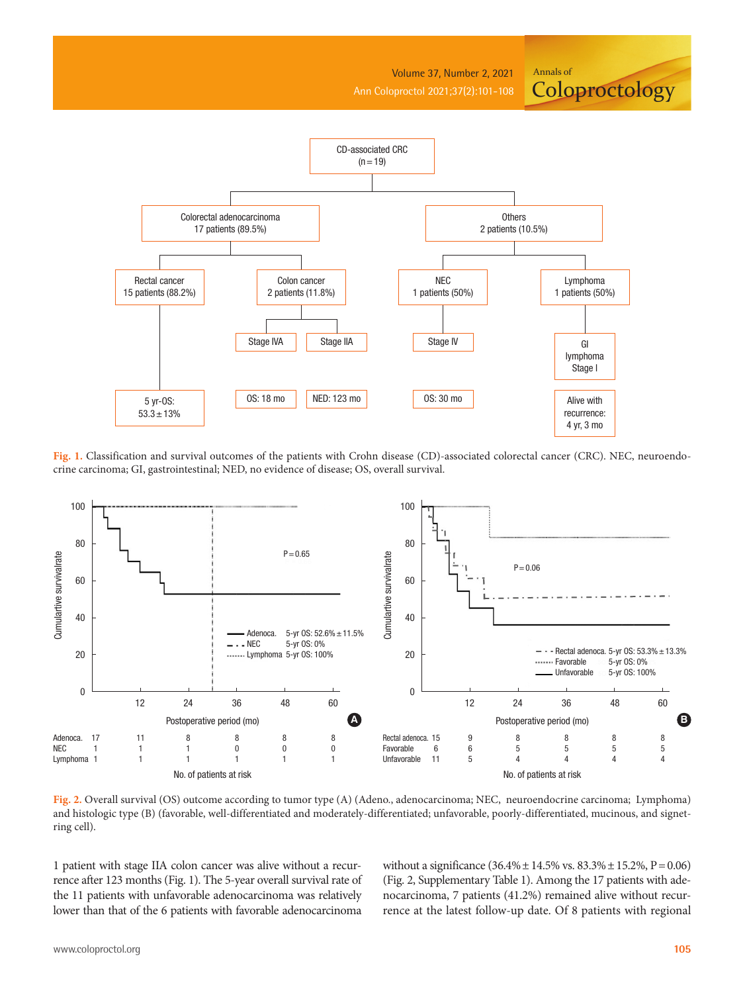Volume 37, Number 2, 2021 Ann Coloproctol 2021;37(2):101-108

**Coloproctology** 

Annals of



Fig. 1. Classification and survival outcomes of the patients with Crohn disease (CD)-associated colorectal cancer (CRC). NEC, neuroendocrine carcinoma; GI, gastrointestinal; NED, no evidence of disease; OS, overall survival.



**Fig. 2.** Overall survival (OS) outcome according to tumor type (A) (Adeno., adenocarcinoma; NEC, neuroendocrine carcinoma; Lymphoma) and histologic type (B) (favorable, well-differentiated and moderately-differentiated; unfavorable, poorly-differentiated, mucinous, and signetring cell).

1 patient with stage IIA colon cancer was alive without a recurrence after 123 months (Fig. 1). The 5-year overall survival rate of the 11 patients with unfavorable adenocarcinoma was relatively lower than that of the 6 patients with favorable adenocarcinoma

without a significance (36.4%± 14.5% vs. 83.3%± 15.2%, P= 0.06) (Fig. 2, Supplementary Table 1). Among the 17 patients with adenocarcinoma, 7 patients (41.2%) remained alive without recurrence at the latest follow-up date. Of 8 patients with regional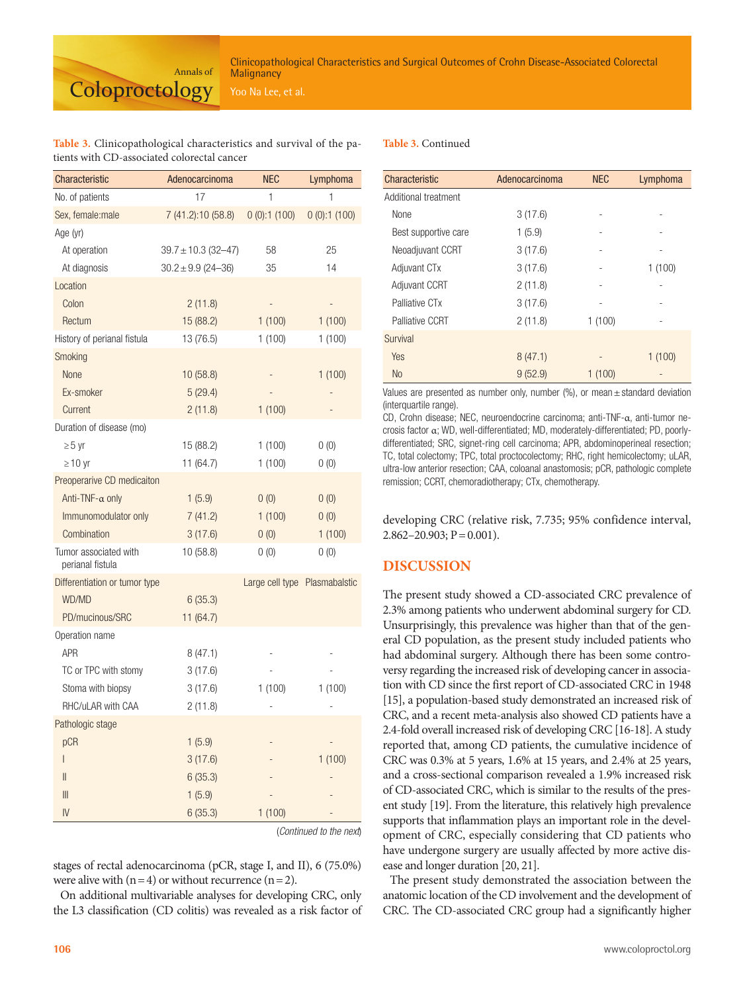#### **Table 3.** Clinicopathological characteristics and survival of the patients with CD-associated colorectal cancer

Annals of

**Coloproctology** 

| Characteristic                            | Adenocarcinoma          | <b>NEC</b>      | Lymphoma      |
|-------------------------------------------|-------------------------|-----------------|---------------|
| No. of patients                           | 17                      | 1               | 1             |
| Sex, female:male                          | 7 (41.2):10 (58.8)      | 0(0):1(100)     | 0(0):1(100)   |
| Age (yr)                                  |                         |                 |               |
| At operation                              | $39.7 \pm 10.3$ (32-47) | 58              | 25            |
| At diagnosis                              | $30.2 \pm 9.9$ (24-36)  | 35              | 14            |
| Location                                  |                         |                 |               |
| Colon                                     | 2(11.8)                 |                 |               |
| Rectum                                    | 15 (88.2)               | 1(100)          | 1(100)        |
| History of perianal fistula               | 13 (76.5)               | 1(100)          | 1(100)        |
| Smoking                                   |                         |                 |               |
| None                                      | 10 (58.8)               |                 | 1(100)        |
| Ex-smoker                                 | 5(29.4)                 |                 |               |
| Current                                   | 2(11.8)                 | 1(100)          |               |
| Duration of disease (mo)                  |                         |                 |               |
| $\geq 5$ yr                               | 15 (88.2)               | 1(100)          | 0(0)          |
| $\geq$ 10 yr                              | 11 (64.7)               | 1(100)          | 0(0)          |
| Preoperarive CD medicaiton                |                         |                 |               |
| Anti-TNF- $\alpha$ only                   | 1(5.9)                  | 0(0)            | 0(0)          |
| Immunomodulator only                      | 7(41.2)                 | 1(100)          | 0(0)          |
| Combination                               | 3(17.6)                 | 0(0)            | 1(100)        |
| Tumor associated with<br>perianal fistula | 10 (58.8)               | 0(0)            | 0(0)          |
| Differentiation or tumor type             |                         | Large cell type | Plasmabalstic |
| WD/MD                                     | 6(35.3)                 |                 |               |
| PD/mucinous/SRC                           | 11 (64.7)               |                 |               |
| Operation name                            |                         |                 |               |
| <b>APR</b>                                | 8(47.1)                 |                 |               |
| TC or TPC with stomy                      | 3(17.6)                 |                 |               |
| Stoma with biopsy                         | 3(17.6)                 | 1(100)          | 1(100)        |
| RHC/uLAR with CAA                         | 2(11.8)                 |                 |               |
| Pathologic stage                          |                         |                 |               |
| pCR                                       | 1(5.9)                  |                 |               |
| I                                         | 3(17.6)                 |                 | 1(100)        |
| $\mathsf{I}$                              | 6(35.3)                 |                 |               |
| III                                       | 1(5.9)                  |                 |               |
| IV                                        | 6(35.3)                 | 1(100)          |               |

(*Continued to the next*)

stages of rectal adenocarcinoma (pCR, stage I, and II), 6 (75.0%) were alive with  $(n = 4)$  or without recurrence  $(n = 2)$ .

On additional multivariable analyses for developing CRC, only the L3 classification (CD colitis) was revealed as a risk factor of

#### **Table 3.** Continued

| Characteristic           | Adenocarcinoma | <b>NEC</b> | Lymphoma |
|--------------------------|----------------|------------|----------|
| Additional treatment     |                |            |          |
| None                     | 3(17.6)        |            |          |
| Best supportive care     | 1(5.9)         |            |          |
| Neoadjuvant CCRT         | 3(17.6)        |            |          |
| Adjuvant CT <sub>x</sub> | 3(17.6)        |            | 1(100)   |
| <b>Adjuvant CCRT</b>     | 2(11.8)        |            |          |
| Palliative CTx           | 3(17.6)        |            |          |
| Palliative CCRT          | 2(11.8)        | 1(100)     |          |
| Survival                 |                |            |          |
| Yes                      | 8(47.1)        |            | 1(100)   |
| <b>No</b>                | 9(52.9)        | 1(100)     |          |

Values are presented as number only, number  $(\%)$ , or mean  $\pm$  standard deviation (interquartile range).

CD, Crohn disease; NEC, neuroendocrine carcinoma; anti-TNF-α, anti-tumor necrosis factor α; WD, well-differentiated; MD, moderately-differentiated; PD, poorlydifferentiated; SRC, signet-ring cell carcinoma; APR, abdominoperineal resection; TC, total colectomy; TPC, total proctocolectomy; RHC, right hemicolectomy; uLAR, ultra-low anterior resection; CAA, coloanal anastomosis; pCR, pathologic complete remission; CCRT, chemoradiotherapy; CTx, chemotherapy.

developing CRC (relative risk, 7.735; 95% confidence interval,  $2.862 - 20.903$ ;  $P = 0.001$ ).

# **DISCUSSION**

The present study showed a CD-associated CRC prevalence of 2.3% among patients who underwent abdominal surgery for CD. Unsurprisingly, this prevalence was higher than that of the general CD population, as the present study included patients who had abdominal surgery. Although there has been some controversy regarding the increased risk of developing cancer in association with CD since the first report of CD-associated CRC in 1948 [15], a population-based study demonstrated an increased risk of CRC, and a recent meta-analysis also showed CD patients have a 2.4-fold overall increased risk of developing CRC [16-18]. A study reported that, among CD patients, the cumulative incidence of CRC was 0.3% at 5 years, 1.6% at 15 years, and 2.4% at 25 years, and a cross-sectional comparison revealed a 1.9% increased risk of CD-associated CRC, which is similar to the results of the present study [19]. From the literature, this relatively high prevalence supports that inflammation plays an important role in the development of CRC, especially considering that CD patients who have undergone surgery are usually affected by more active disease and longer duration [20, 21].

The present study demonstrated the association between the anatomic location of the CD involvement and the development of CRC. The CD-associated CRC group had a significantly higher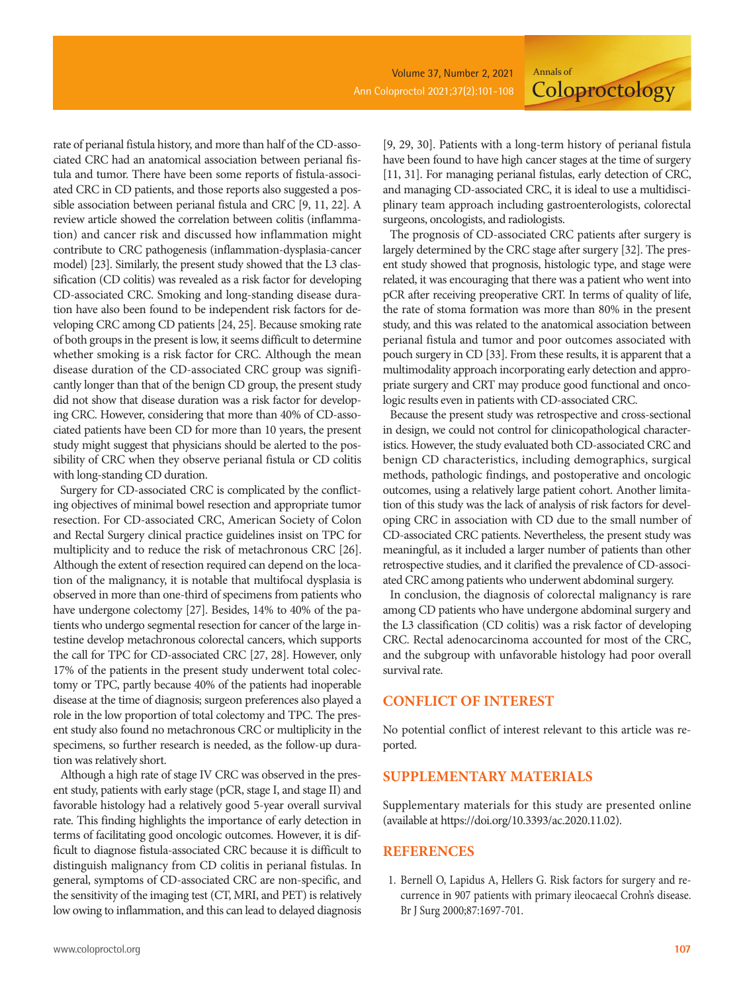rate of perianal fistula history, and more than half of the CD-associated CRC had an anatomical association between perianal fistula and tumor. There have been some reports of fistula-associated CRC in CD patients, and those reports also suggested a possible association between perianal fistula and CRC [9, 11, 22]. A review article showed the correlation between colitis (inflammation) and cancer risk and discussed how inflammation might contribute to CRC pathogenesis (inflammation-dysplasia-cancer model) [23]. Similarly, the present study showed that the L3 classification (CD colitis) was revealed as a risk factor for developing CD-associated CRC. Smoking and long-standing disease duration have also been found to be independent risk factors for developing CRC among CD patients [24, 25]. Because smoking rate of both groups in the present is low, it seems difficult to determine whether smoking is a risk factor for CRC. Although the mean disease duration of the CD-associated CRC group was significantly longer than that of the benign CD group, the present study did not show that disease duration was a risk factor for developing CRC. However, considering that more than 40% of CD-associated patients have been CD for more than 10 years, the present study might suggest that physicians should be alerted to the possibility of CRC when they observe perianal fistula or CD colitis with long-standing CD duration.

Surgery for CD-associated CRC is complicated by the conflicting objectives of minimal bowel resection and appropriate tumor resection. For CD-associated CRC, American Society of Colon and Rectal Surgery clinical practice guidelines insist on TPC for multiplicity and to reduce the risk of metachronous CRC [26]. Although the extent of resection required can depend on the location of the malignancy, it is notable that multifocal dysplasia is observed in more than one-third of specimens from patients who have undergone colectomy [27]. Besides, 14% to 40% of the patients who undergo segmental resection for cancer of the large intestine develop metachronous colorectal cancers, which supports the call for TPC for CD-associated CRC [27, 28]. However, only 17% of the patients in the present study underwent total colectomy or TPC, partly because 40% of the patients had inoperable disease at the time of diagnosis; surgeon preferences also played a role in the low proportion of total colectomy and TPC. The present study also found no metachronous CRC or multiplicity in the specimens, so further research is needed, as the follow-up duration was relatively short.

Although a high rate of stage IV CRC was observed in the present study, patients with early stage (pCR, stage I, and stage II) and favorable histology had a relatively good 5-year overall survival rate. This finding highlights the importance of early detection in terms of facilitating good oncologic outcomes. However, it is difficult to diagnose fistula-associated CRC because it is difficult to distinguish malignancy from CD colitis in perianal fistulas. In general, symptoms of CD-associated CRC are non-specific, and the sensitivity of the imaging test (CT, MRI, and PET) is relatively low owing to inflammation, and this can lead to delayed diagnosis

[9, 29, 30]. Patients with a long-term history of perianal fistula have been found to have high cancer stages at the time of surgery [11, 31]. For managing perianal fistulas, early detection of CRC, and managing CD-associated CRC, it is ideal to use a multidisciplinary team approach including gastroenterologists, colorectal surgeons, oncologists, and radiologists.

Annals of

**Coloproctology** 

The prognosis of CD-associated CRC patients after surgery is largely determined by the CRC stage after surgery [32]. The present study showed that prognosis, histologic type, and stage were related, it was encouraging that there was a patient who went into pCR after receiving preoperative CRT. In terms of quality of life, the rate of stoma formation was more than 80% in the present study, and this was related to the anatomical association between perianal fistula and tumor and poor outcomes associated with pouch surgery in CD [33]. From these results, it is apparent that a multimodality approach incorporating early detection and appropriate surgery and CRT may produce good functional and oncologic results even in patients with CD-associated CRC.

Because the present study was retrospective and cross-sectional in design, we could not control for clinicopathological characteristics. However, the study evaluated both CD-associated CRC and benign CD characteristics, including demographics, surgical methods, pathologic findings, and postoperative and oncologic outcomes, using a relatively large patient cohort. Another limitation of this study was the lack of analysis of risk factors for developing CRC in association with CD due to the small number of CD-associated CRC patients. Nevertheless, the present study was meaningful, as it included a larger number of patients than other retrospective studies, and it clarified the prevalence of CD-associated CRC among patients who underwent abdominal surgery.

In conclusion, the diagnosis of colorectal malignancy is rare among CD patients who have undergone abdominal surgery and the L3 classification (CD colitis) was a risk factor of developing CRC. Rectal adenocarcinoma accounted for most of the CRC, and the subgroup with unfavorable histology had poor overall survival rate.

#### **CONFLICT OF INTEREST**

No potential conflict of interest relevant to this article was reported.

## **SUPPLEMENTARY MATERIALS**

Supplementary materials for this study are presented online (available at https://doi.org/10.3393/ac.2020.11.02).

#### **REFERENCES**

1. Bernell O, Lapidus A, Hellers G. Risk factors for surgery and recurrence in 907 patients with primary ileocaecal Crohn's disease. Br J Surg 2000;87:1697-701.